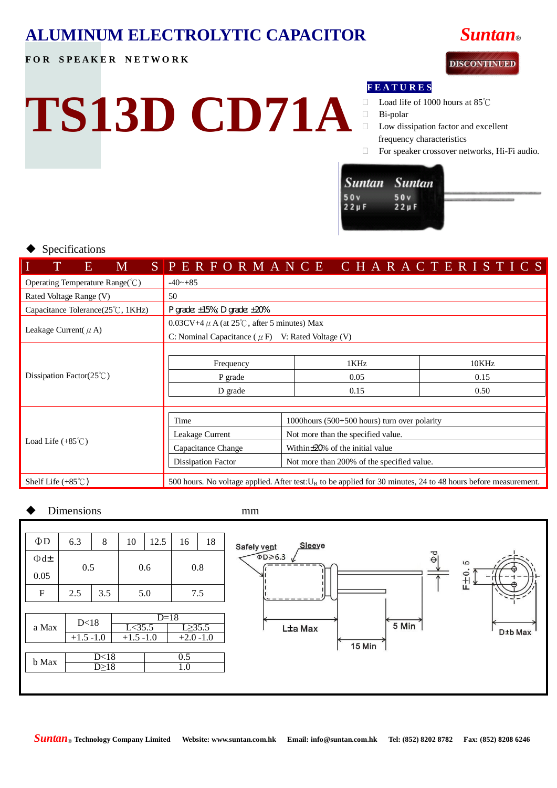# **ALUMINUM ELECTROLYTIC CAPACITOR** *Suntan***®**

**TS13D CD71A**

### **FOR SPEAKER NETWORK**



#### **F E A T U R E S**

- Load life of 1000 hours at 85℃
- Bi-polar
- □ Low dissipation factor and excellent frequency characteristics
- For speaker crossover networks, Hi-Fi audio.

| Suntan Suntan     |                    |  |
|-------------------|--------------------|--|
| 50v<br>$22 \mu F$ | 50 v<br>$22 \mu F$ |  |
|                   |                    |  |

#### Specifications

| I<br>E<br>M                                               |                                                                                                                   | SPERFORMANCE CHARACTERISTICS          |       |
|-----------------------------------------------------------|-------------------------------------------------------------------------------------------------------------------|---------------------------------------|-------|
| Operating Temperature Range( $\degree$ C)                 | $-40$ $-+85$                                                                                                      |                                       |       |
| Rated Voltage Range (V)                                   | 50                                                                                                                |                                       |       |
| Capacitance Tolerance $(25^{\circ}\text{C}, 1\text{KHz})$ | P grade: $\pm 15\%$ ; D grade: $\pm 20\%$                                                                         |                                       |       |
| Leakage Current( $\mu$ A)                                 | $0.03CV+4 \mu A$ (at 25°C, after 5 minutes) Max                                                                   |                                       |       |
|                                                           | C: Nominal Capacitance ( $\mu$ F) V: Rated Voltage (V)                                                            |                                       |       |
|                                                           |                                                                                                                   |                                       |       |
|                                                           | Frequency                                                                                                         | 1KHz                                  | 10KHz |
| Dissipation Factor( $25^{\circ}$ C)                       | P grade                                                                                                           | 0.05                                  | 0.15  |
|                                                           | D grade                                                                                                           | 0.15                                  | 0.50  |
|                                                           |                                                                                                                   |                                       |       |
| Load Life $(+85^{\circ}$ C)                               | Time<br>1000 hours $(500+500)$ hours) turn over polarity                                                          |                                       |       |
|                                                           | Leakage Current                                                                                                   | Not more than the specified value.    |       |
|                                                           | Capacitance Change                                                                                                | Within $\pm$ 20% of the initial value |       |
|                                                           | <b>Dissipation Factor</b><br>Not more than 200% of the specified value.                                           |                                       |       |
| Shelf Life $(+85^{\circ}$ C)                              | 500 hours. No voltage applied. After test: $U_R$ to be applied for 30 minutes, 24 to 48 hours before measurement. |                                       |       |

#### Dimensions mm

| $\Phi$ D<br>12.5<br>6.3<br>10<br>16<br>8<br>18<br>$\Phi$ d±<br>0.5<br>0.6<br>0.8<br>0.05<br>$\mathbf{F}$<br>2.5<br>3.5<br>5.0<br>7.5 |        |  |  |  |  |  |
|--------------------------------------------------------------------------------------------------------------------------------------|--------|--|--|--|--|--|
|                                                                                                                                      |        |  |  |  |  |  |
|                                                                                                                                      |        |  |  |  |  |  |
|                                                                                                                                      |        |  |  |  |  |  |
|                                                                                                                                      |        |  |  |  |  |  |
|                                                                                                                                      |        |  |  |  |  |  |
| D<18                                                                                                                                 | $D=18$ |  |  |  |  |  |
| L<35.5<br>L > 35.5<br>a Max                                                                                                          |        |  |  |  |  |  |
| $+1.5 -1.0$<br>$+1.5 -1.0$<br>$+2.0 -1.0$                                                                                            |        |  |  |  |  |  |
|                                                                                                                                      |        |  |  |  |  |  |
| D<18<br>0.5<br>b Max                                                                                                                 |        |  |  |  |  |  |
| D>18<br>1.0                                                                                                                          |        |  |  |  |  |  |
|                                                                                                                                      |        |  |  |  |  |  |